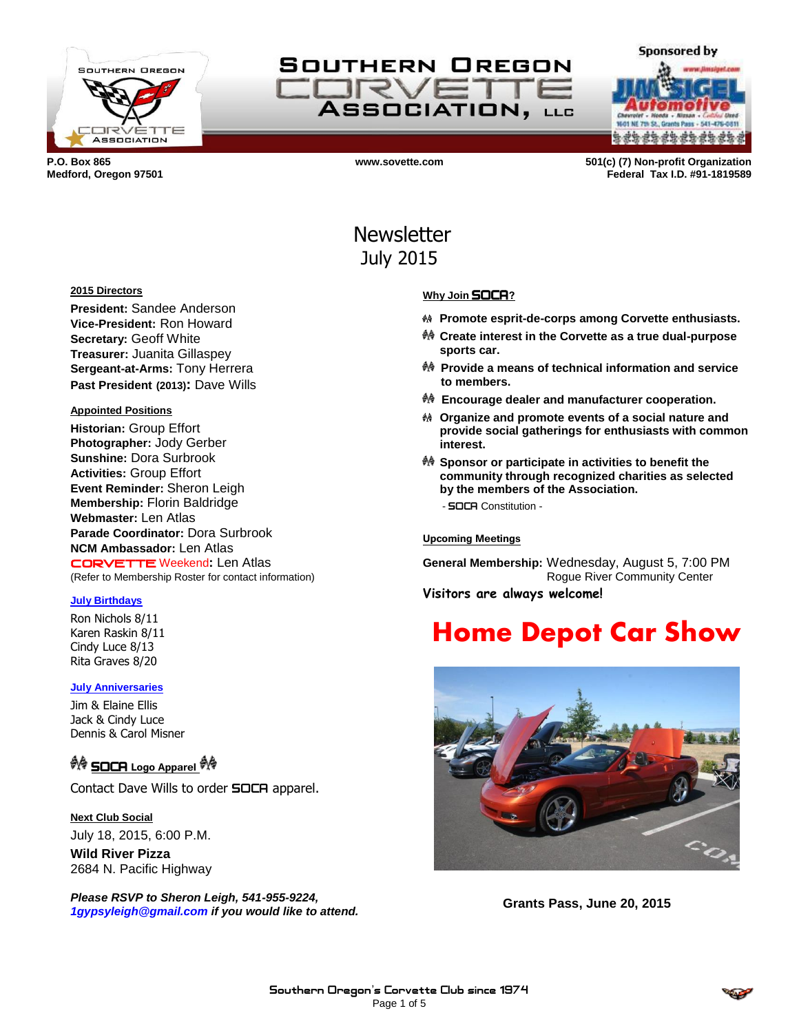

SOUTHERN OREGON IRVE ASSOCIATION, LLC

**Sponsored by a da da da da da da da** 

**P.O. Box 865 www.sovette.com 501(c) (7) Non-profit Organization Medford, Oregon 97501 Federal Tax I.D. #91-1819589**

# Newsletter July 2015

#### **2015 Directors**

**President:** Sandee Anderson **Vice-President:** Ron Howard **Secretary:** Geoff White **Treasurer:** Juanita Gillaspey **Sergeant-at-Arms:** Tony Herrera **Past President (2013):** Dave Wills

#### **Appointed Positions**

**Historian:** Group Effort **Photographer:** Jody Gerber **Sunshine:** Dora Surbrook **Activities:** Group Effort **Event Reminder:** Sheron Leigh **Membership:** Florin Baldridge **Webmaster:** Len Atlas **Parade Coordinator:** Dora Surbrook **NCM Ambassador:** Len Atlas CORVETTE Weekend**:** Len Atlas (Refer to Membership Roster for contact information)

#### **July Birthdays**

Ron Nichols 8/11 Karen Raskin 8/11 Cindy Luce 8/13 Rita Graves 8/20

#### **July Anniversaries**

Jim & Elaine Ellis Jack & Cindy Luce Dennis & Carol Misner

# *<sup>†</sup>ि* SOCR Logo Apparel <sup>†</sup>ै

Contact Dave Wills to order **SOCA** apparel.

**Next Club Social** July 18, 2015, 6:00 P.M.

**Wild River Pizza** 2684 N. Pacific Highway

*Please RSVP to Sheron Leigh, 541-955-9224, 1gypsyleigh@gmail.com if you would like to attend.*

#### **Why Join** SOCA**?**

- **Promote esprit-de-corps among Corvette enthusiasts.**
- **Create interest in the Corvette as a true dual-purpose sports car.**
- **Provide a means of technical information and service to members.**
- **Encourage dealer and manufacturer cooperation.**
- **Organize and promote events of a social nature and provide social gatherings for enthusiasts with common interest.**
- **Sponsor or participate in activities to benefit the community through recognized charities as selected by the members of the Association.** - SOCA Constitution -
	-

**Upcoming Meetings**

**General Membership:** Wednesday, August 5, 7:00 PM Rogue River Community Center

**Visitors are always welcome!**

# **Home Depot Car Show**



**Grants Pass, June 20, 2015**

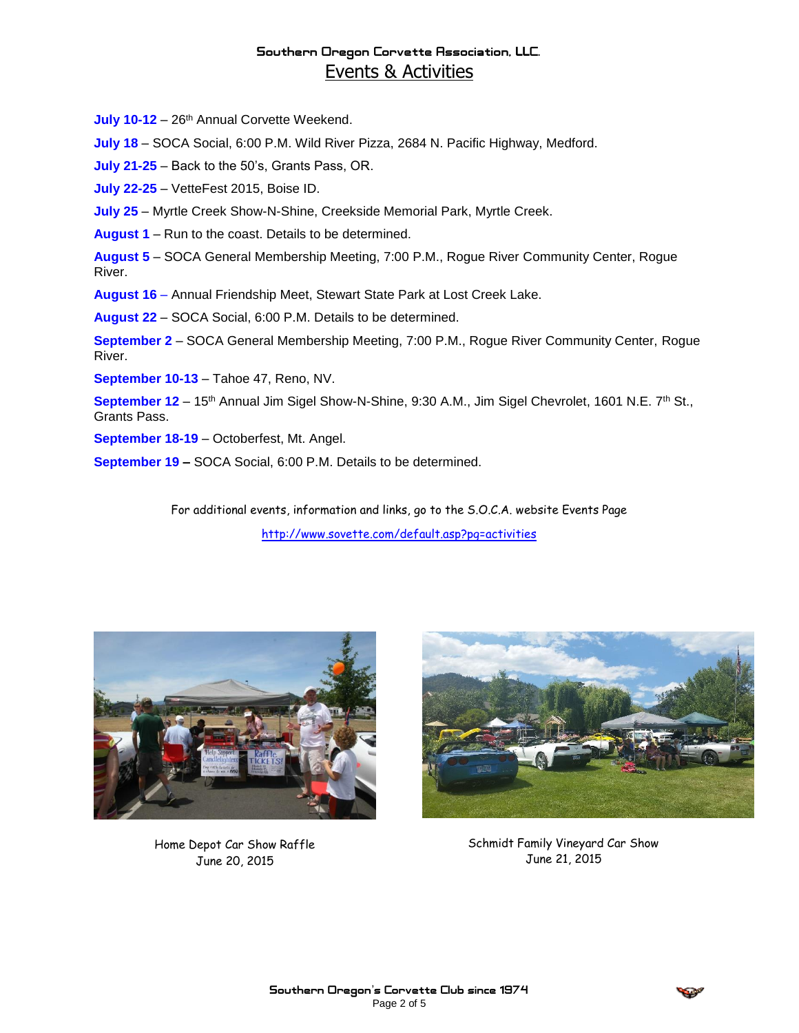### Southern Oregon Corvette Association, LLC. Events & Activities

July 10-12 - 26<sup>th</sup> Annual Corvette Weekend.

**July 18** – SOCA Social, 6:00 P.M. Wild River Pizza, 2684 N. Pacific Highway, Medford.

**July 21-25** – Back to the 50's, Grants Pass, OR.

**July 22-25** – VetteFest 2015, Boise ID.

**July 25** – Myrtle Creek Show-N-Shine, Creekside Memorial Park, Myrtle Creek.

**August 1** – Run to the coast. Details to be determined.

**August 5** – SOCA General Membership Meeting, 7:00 P.M., Rogue River Community Center, Rogue River.

**August 16** – Annual Friendship Meet, Stewart State Park at Lost Creek Lake.

**August 22** – SOCA Social, 6:00 P.M. Details to be determined.

**September 2** – SOCA General Membership Meeting, 7:00 P.M., Rogue River Community Center, Rogue River.

**September 10-13** – Tahoe 47, Reno, NV.

September 12 - 15<sup>th</sup> Annual Jim Sigel Show-N-Shine, 9:30 A.M., Jim Sigel Chevrolet, 1601 N.E. 7<sup>th</sup> St., Grants Pass.

**September 18-19** – Octoberfest, Mt. Angel.

**September 19 –** SOCA Social, 6:00 P.M. Details to be determined.

For additional events, information and links, go to the S.O.C.A. website Events Page <http://www.sovette.com/default.asp?pg=activities>



Home Depot Car Show Raffle June 20, 2015



Schmidt Family Vineyard Car Show June 21, 2015

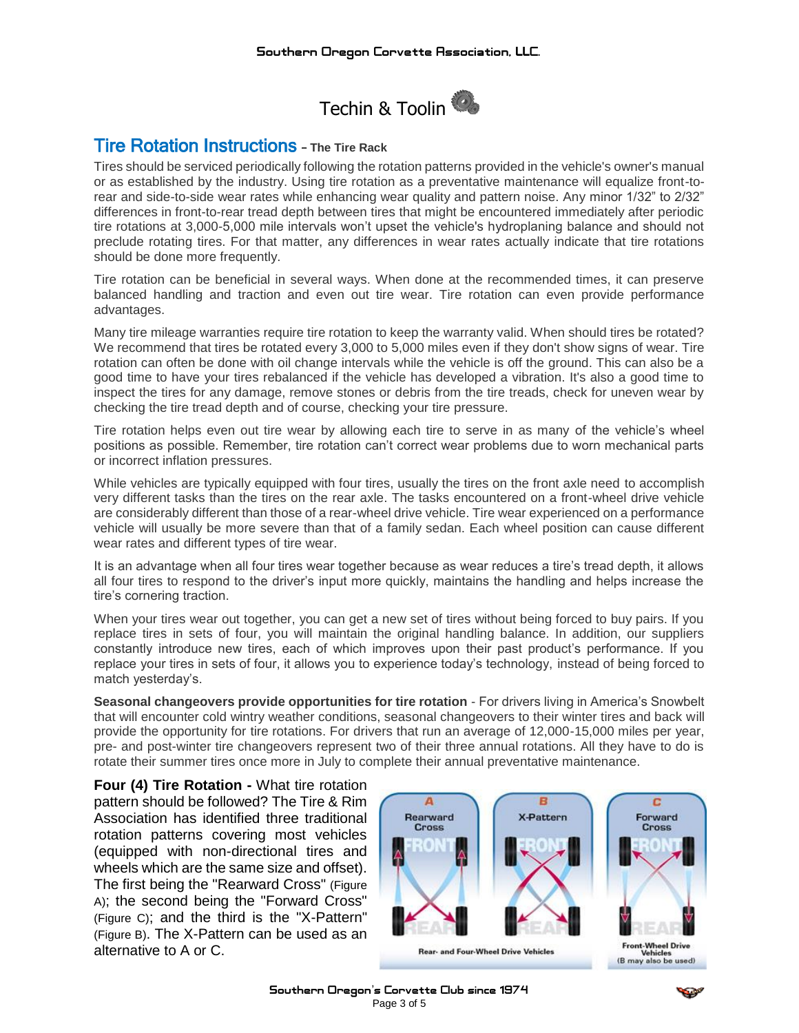

# Tire Rotation Instructions – **The Tire Rack**

Tires should be serviced periodically following the rotation patterns provided in the vehicle's owner's manual or as established by the industry. Using tire rotation as a preventative maintenance will equalize front-torear and side-to-side wear rates while enhancing wear quality and pattern noise. Any minor 1/32" to 2/32" differences in front-to-rear tread depth between tires that might be encountered immediately after periodic tire rotations at 3,000-5,000 mile intervals won't upset the vehicle's hydroplaning balance and should not preclude rotating tires. For that matter, any differences in wear rates actually indicate that tire rotations should be done more frequently.

Tire rotation can be beneficial in several ways. When done at the recommended times, it can preserve balanced handling and traction and even out tire wear. Tire rotation can even provide performance advantages.

Many tire mileage warranties require tire rotation to keep the warranty valid. When should tires be rotated? We recommend that tires be rotated every 3,000 to 5,000 miles even if they don't show signs of wear. Tire rotation can often be done with oil change intervals while the vehicle is off the ground. This can also be a good time to have your tires rebalanced if the vehicle has developed a vibration. It's also a good time to inspect the tires for any damage, remove stones or debris from the tire treads, check for uneven wear by checking the tire tread depth and of course, checking your tire pressure.

Tire rotation helps even out tire wear by allowing each tire to serve in as many of the vehicle's wheel positions as possible. Remember, tire rotation can't correct wear problems due to worn mechanical parts or incorrect inflation pressures.

While vehicles are typically equipped with four tires, usually the tires on the front axle need to accomplish very different tasks than the tires on the rear axle. The tasks encountered on a front-wheel drive vehicle are considerably different than those of a rear-wheel drive vehicle. Tire wear experienced on a performance vehicle will usually be more severe than that of a family sedan. Each wheel position can cause different wear rates and different types of tire wear.

It is an advantage when all four tires wear together because as wear reduces a tire's tread depth, it allows all four tires to respond to the driver's input more quickly, maintains the handling and helps increase the tire's cornering traction.

When your tires wear out together, you can get a new set of tires without being forced to buy pairs. If you replace tires in sets of four, you will maintain the original handling balance. In addition, our suppliers constantly introduce new tires, each of which improves upon their past product's performance. If you replace your tires in sets of four, it allows you to experience today's technology, instead of being forced to match yesterday's.

**Seasonal changeovers provide opportunities for tire rotation** - For drivers living in America's Snowbelt that will encounter cold wintry weather conditions, seasonal changeovers to their winter tires and back will provide the opportunity for tire rotations. For drivers that run an average of 12,000-15,000 miles per year, pre- and post-winter tire changeovers represent two of their three annual rotations. All they have to do is rotate their summer tires once more in July to complete their annual preventative maintenance.

**Four (4) Tire Rotation -** What tire rotation pattern should be followed? The Tire & Rim Association has identified three traditional rotation patterns covering most vehicles (equipped with non-directional tires and wheels which are the same size and offset). The first being the "Rearward Cross" (Figure A); the second being the "Forward Cross" (Figure C); and the third is the "X-Pattern" (Figure B). The X-Pattern can be used as an alternative to A or C.